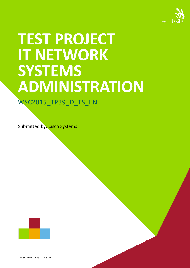

# **TEST PROJECT IT NETWORK SYSTEMS ADMINISTRATION**

## WSC2015\_TP39\_D\_TS\_EN

Submitted by: Cisco Systems



WSC2015\_TP39\_D\_TS\_EN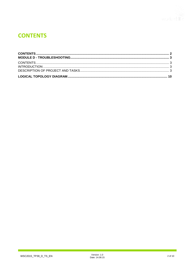## <span id="page-1-0"></span>**CONTENTS**

٦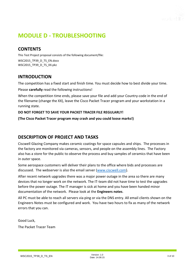

## <span id="page-2-0"></span>**MODULE D - TROUBLESHOOTING**

#### <span id="page-2-1"></span>**CONTENTS**

This Test Project proposal consists of the following document/file:

WSC2015\_TP39\_D\_TS\_EN.docx WSC2015\_TP39\_D\_TS\_XX.pkz

#### <span id="page-2-2"></span>**INTRODUCTION**

The competition has a fixed start and finish time. You must decide how to best divide your time.

Please **carefully** read the following instructions!

When the competition time ends, please save your file and add your Country-code in the end of the filename (change the XX), leave the Cisco Packet Tracer program and your workstation in a running state.

#### **DO NOT FORGET TO SAVE YOUR PACKET TRACER FILE REGULARLY!**

**(The Cisco Packet Tracer program may crash and you could loose marks!)**

#### <span id="page-2-3"></span>**DESCRIPTION OF PROJECT AND TASKS**

Ciscwell Glazing Company makes ceramic coatings for space capsules and ships. The processes in the factory are monitored via cameras, sensors, and people on the assembly lines. The Factory also has a store for the public to observe the process and buy samples of ceramics that have been in outer space.

Some aerospace customers will deliver their plans to the office where bids and processes are discussed. The webserver is also the email server [\(www.ciscwell.com\)](http://www.ciscwell.com/).

After recent network upgrades there was a major power outage in the area so there are many devices that no longer work on the network. The IT-team did not have time to test the upgrades before the power outage. The IT manager is sick at home and you have been handed minor documentation of the network. Please look at the **Engineers notes**.

All PC must be able to reach all servers via ping or via the DNS entry. All email clients shown on the Engineers Notes must be configured and work. You have two hours to fix as many of the network errors that you can.

Good Luck, The Packet Tracer Team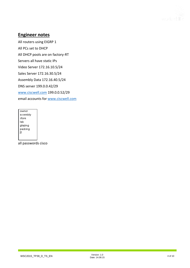

### **Engineer notes**

All routers using EIGRP 1 All PCs set to DHCP All DHCP pools are on factory-RT Servers all have static IPs Video Server 172.16.10.5/24 Sales Server 172.16.30.5/24 Assembly Data 172.16.40.5/24 DNS server 199.0.0.42/29 [www.ciscwell.com](http://www.ciscwell.com/) 199.0.0.52/29 email accounts for [www.ciscwell.com](http://www.ciscwell.com/)

owner assembly store lab glazing packing  $\boldsymbol{\Pi}$ 

all passwords cisco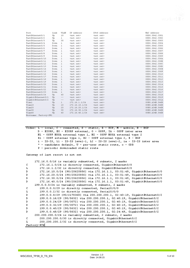

| Port                  | Link        | VLAN  | IP Address         | IPv6 Address       | MAC Address    |
|-----------------------|-------------|-------|--------------------|--------------------|----------------|
| FastEthernet0/1       | Up          | 10    | <not set=""></not> | <not set=""></not> | 00D0.5842.C001 |
| FastEthernet0/2       | Up          | ı     | <not set=""></not> | <not set=""></not> | 00D0.5842.C002 |
| FastEthernet0/3       | Up          | 30    | <not set=""></not> | <not set=""></not> | 00D0.5842.C003 |
| FastEthernet0/4       | Down        | ı     | <not set=""></not> | <not set=""></not> | 00D0.5842.C004 |
| FastEthernet0/5       | Down.       | 1     | <not set=""></not> | <not set=""></not> | 00D0.5842.C005 |
| FastEthernet0/6       | Down        | ı     | <not set=""></not> | <not set=""></not> | 00D0.5842.C006 |
| FastEthernet0/7       | Down        | ı     | <not set=""></not> | <not set=""></not> | 00D0.5842.C007 |
| FastEthernet0/8       | Down        | ı     | <not set=""></not> | <not set=""></not> | 00D0.5842.C008 |
| FastEthernet0/9       | Down        | ı     | <not set=""></not> | <not set=""></not> | 00D0.5842.C009 |
| FastEthernet0/10      | Down        | ı     | <not set=""></not> | <not set=""></not> | 00D0.5842.COOA |
| FastEthernet0/11      | Down        | ı     | <not set=""></not> | <not set=""></not> | 00D0.5842.COOB |
| FastEthernet0/12      | Down        | ı     | <not set=""></not> | <not set=""></not> | 00D0.5842.COOC |
| FastEthernet0/13      | Down        | ı     | <not set=""></not> | <not set=""></not> | 00D0.5842.COOD |
| FastEthernet0/14      | Down        | ı     | <not set=""></not> | <not set=""></not> | 00D0.5842.COOE |
| FastEthernet0/15      | Down        | ı     | <not set=""></not> | <not set=""></not> | 00D0.5842.COOF |
| FastEthernet0/16      | Down        | 1     | <not set=""></not> | <not set=""></not> | 00D0.5842.C010 |
| FastEthernet0/17      | <b>Down</b> | ı     | <not set=""></not> | <not set=""></not> | 00D0.5842.CO11 |
| FastEthernet0/18      | Down        | ı     | <not set=""></not> | <not set=""></not> | 00D0.5842.C012 |
| FastEthernet0/19      | Down        | ı     | <not set=""></not> | <not set=""></not> | 00D0.5842.C013 |
| FastEthernet0/20      | Down        | ı     | <not set=""></not> | <not set=""></not> | 00D0.5842.C014 |
| FastEthernet0/21      | Down        | ı     | <not set=""></not> | <not set=""></not> | 00D0.5842.CO15 |
| FastEthernet0/22      | <b>Down</b> | ı     | <not set=""></not> | <not set=""></not> | 00D0.5842.CO16 |
| FastEthernet0/23      | Down        | ı     | <not set=""></not> | <not set=""></not> | 00D0.5842.C017 |
| FastEthernet0/24      | Up          | 40    | <not set=""></not> | <not set=""></not> | 00D0.5842.C018 |
| GigabitEthernet0/1    | Up          | $- -$ | <not set=""></not> | <not set=""></not> | 00D0.5842.C019 |
| GigabitEthernet0/2    | Up          | $= -$ | <not set=""></not> | <not set=""></not> | 00D0.5842.COlA |
| Vlanl                 | Up          | ı     | 172.16.1.1/24      | <not set=""></not> | 00E0.A34B.546B |
| Vlan10                | Up          | 10    | 172.16.10.1/24     | <not set=""></not> | 00E0.A34B.546B |
| Vlan20                | Up          | 20    | 172.16.20.1/24     | <not set=""></not> | 00E0.A34B.546B |
| Vlan30                | Up          | 30    | 172.16.30.1/24     | <not set=""></not> | 00E0.A34B.546B |
| Vlan40                | Up          | 40    | 172.16.40.1/24     | <not set=""></not> | 00E0.A34B.546B |
| Hostname: Factory-SUl |             |       |                    |                    |                |

Codes: L - local, C - connected, S - static, R - RIP, M - mobile, B - BGP D - EIGRP, EX - EIGRP external, 0 - OSPF, IA - OSPF inter area N1 - OSPF NSSA external type 1, N2 - OSPF NSSA external type 2 El - OSPF external type 1, E2 - OSPF external type 2, E - EGP<br>i - IS-IS, L1 - IS-IS level-1, L2 - IS-IS level-2, ia - IS-IS inter area \* - candidate default, U - per-user static route, o - ODR P - periodic downloaded static route

Gateway of last resort is not set

| 172.16.0.0/16 is variably subnetted, 6 subnets, 2 masks                        |  |
|--------------------------------------------------------------------------------|--|
| C.<br>172.16.1.0/24 is directly connected, GigabitEthernet0/0                  |  |
| L<br>172.16.1.2/32 is directly connected, GigabitEthernet0/0                   |  |
| 172.16.10.0/24 [90/25625856] via 172.16.1.1, 03:01:49, GigabitEthernet0/0<br>D |  |
| 172.16.20.0/24 [90/25625856] via 172.16.1.1, 03:01:49, GigabitEthernet0/0<br>D |  |
| 172.16.30.0/24 [90/25625856] via 172.16.1.1, 03:01:49, GigabitEthernet0/0<br>D |  |
| 172.16.40.0/24 [90/25625856] via 172.16.1.1, 03:01:49, GigabitEthernet0/0<br>D |  |
| 199.0.0.0/24 is variably subnetted, 8 subnets, 2 masks                         |  |
| C.<br>199.0.0.0/29 is directly connected, Serial0/0/0                          |  |
| L<br>199.0.0.2/32 is directly connected, Serial0/0/0                           |  |
| 199.0.0.8/29 [90/2170368] via 200.200.200.1, 02:40:19, GigabitEthernet0/2<br>D |  |
| D<br>199.0.0.16/29 [90/5632] via 200.200.200.1, 02:40:19, GigabitEthernet0/2   |  |
| D<br>199.0.0.24/29 [90/3072] via 200.200.200.1, 02:40:19, GigabitEthernet0/2   |  |
| D<br>199.0.0.32/29 [90/3072] via 200.200.200.1, 02:40:19, GigabitEthernet0/2   |  |
| 199.0.0.40/29 [90/5632] via 200.200.200.1, 02:40:19, GigabitEthernet0/2<br>D   |  |
| 199.0.0.48/29 [90/5632] via 200.200.200.1, 02:24:49, GigabitEthernet0/2<br>D   |  |
| 200.200.200.0/24 is variably subnetted, 2 subnets, 2 masks                     |  |
| C.<br>200.200.200.0/30 is directly connected, GigabitEthernet0/2               |  |
| 200.200.200.2/32 is directly connected, GigabitEthernet0/2<br>L                |  |
| Factory-RT#                                                                    |  |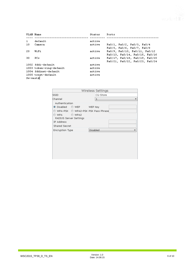

|              | VLAN Name               | Status | Ports                          |
|--------------|-------------------------|--------|--------------------------------|
|              |                         |        |                                |
| $\mathbf{1}$ | default                 | active |                                |
| 10           | Camera                  | active | Fa0/1, Fa0/2, Fa0/3, Fa0/4     |
|              |                         |        | Fa0/5, Fa0/6, Fa0/7, Fa0/8     |
| 20           | WiFi                    | active | Fa0/9, Fa0/10, Fa0/11, Fa0/12  |
|              |                         |        | Fa0/13, Fa0/14, Fa0/15, Fa0/16 |
| 30           | ₽Cs                     | active | Fa0/17, Fa0/18, Fa0/19, Fa0/20 |
|              |                         |        | Fa0/21, Fa0/22, Fa0/23, Fa0/24 |
|              | 1002 fddi-default       | active |                                |
|              | 1003 token-ring-default | active |                                |
|              | 1004 fddinet-default    | active |                                |
|              | 1005 trnet-default      | active |                                |
| Sw-west#     |                         |        |                                |

|                                                                                                                                                                              |          | Wireless Settings |  |
|------------------------------------------------------------------------------------------------------------------------------------------------------------------------------|----------|-------------------|--|
| <b>ISSID</b>                                                                                                                                                                 |          | CG-Store          |  |
| Channel                                                                                                                                                                      |          | 1                 |  |
| Authentication<br>$\bullet$ Disabled<br>$\circ$ WEP<br>WPA-PSK @ WPA2-PSK PSK Pass Phrase<br>© WPA<br>C WPA2<br>RADIUS Server Settings<br>IP Address<br><b>Shared Secret</b> | WEP Key  |                   |  |
| <b>Encryption Type</b>                                                                                                                                                       | Disabled |                   |  |
|                                                                                                                                                                              |          |                   |  |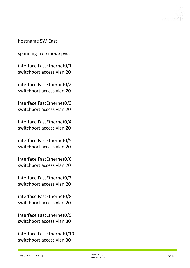

! hostname SW -East ! spanning -tree mode pvst ! interface FastEthernet0/1 switchport access vlan 20 ! interface FastEthernet0/2 switchport access vlan 20 ! interface FastEthernet0/3 switchport access vlan 20 ! interface FastEthernet0/4 switchport access vlan 20 ! interface FastEthernet0/5 switchport access vlan 20 ! interface FastEthernet0/6 switchport access vlan 20 ! interface FastEthernet0/7 switchport access vlan 20 ! interface FastEthernet0/8 switchport access vlan 20 ! interface FastEthernet0/9 switchport access vlan 30 ! interface FastEthernet0/10 switchport access vlan 30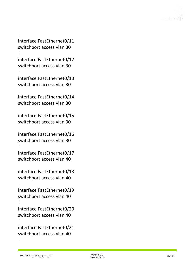

! interface FastEthernet0/11 switchport access vlan 30 ! interface FastEthernet0/12 switchport access vlan 30 ! interface FastEthernet0/13 switchport access vlan 30 ! interface FastEthernet0/14 switchport access vlan 30 ! interface FastEthernet0/15 switchport access vlan 30 ! interface FastEthernet0/16 switchport access vlan 30 ! interface FastEthernet0/17 switchport access vlan 40 ! interface FastEthernet0/18 switchport access vlan 40 ! interface FastEthernet0/19 switchport access vlan 40 ! interface FastEthernet0/20 switchport access vlan 40 ! interface FastEthernet0/21 switchport access vlan 40 !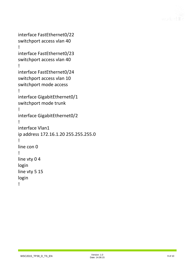

```
interface FastEthernet0/22
switchport access vlan 40
!
interface FastEthernet0/23
switchport access vlan 40
!
interface FastEthernet0/24
switchport access vlan 10
switchport mode access
!
interface GigabitEthernet0/1
switchport mode trunk
!
interface GigabitEthernet0/2
!
interface Vlan1
ip address 172.16.1.20 255.255.255.0
!
line con 0
!
line vty 0 4
login
line vty 5 15
login
!
```